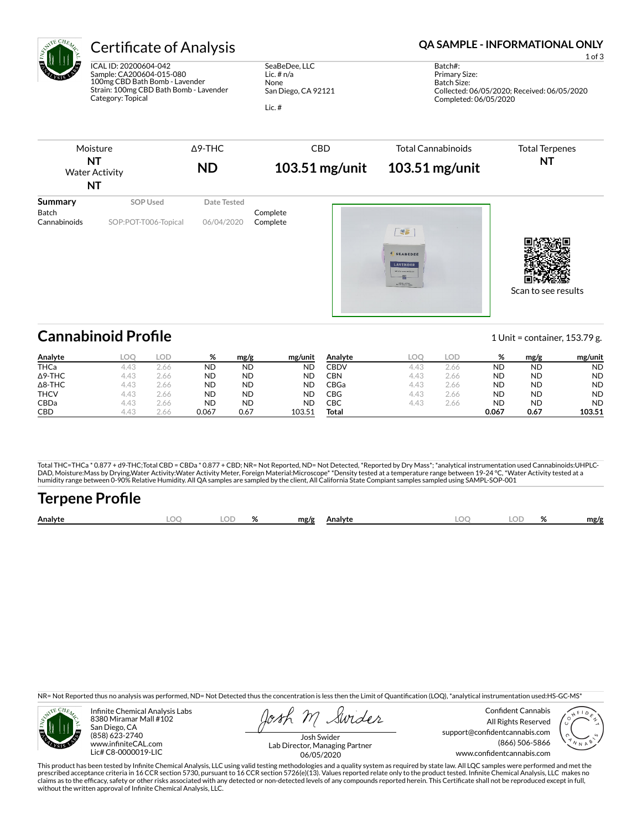

ICAL ID: 20200604-042 Sample: CA200604-015-080 100mg CBD Bath Bomb - Lavender Strain: 100mg CBD Bath Bomb - Lavender Category: Topical

SeaBeDee, LLC Lic. # n/a None San Diego, CA 92121

Lic. #

## Certificate of Analysis **Certificate of Analysis QA SAMPLE - INFORMATIONAL ONLY**

1 of 3

Batch#: Primary Size: Batch Size: Collected: 06/05/2020; Received: 06/05/2020 Completed: 06/05/2020



# **Cannabinoid Profile** 153.79 g.

**Analyte LOQ LOD % mg/g mg/unit** THCa 4.43 2.66 ND ND ND Δ9-THC 4.43 2.66 ND ND ND Δ8-THC 4.43 2.66 ND ND ND **THCV** 4.43 2.66 **ND ND ND** CBDa 4.43 2.66 ND ND ND CBD 4.43 2.66 0.067 0.67 103.51 **Analyte LOQ LOD % mg/g mg/unit** CBDV 4.43 2.66 ND ND ND CBN 4.43 2.66 ND ND ND CBGa 4.43 2.66 ND ND ND CBG 4.43 2.66 ND ND ND CBC 4.43 2.66 ND ND ND **Total 0.067 0.67 103.51**

Total THC=THCa \* 0.877 + d9-THC;Total CBD = CBDa \* 0.877 + CBD; NR= Not Reported, ND= Not Detected, \*Reported by Dry Mass\*; \*analytical instrumentation used Cannabinoids:UHPLC-DAD, Moisture:Mass by Drying,Water Activity:Water Activity Meter, Foreign Material:Microscope\* \*Density tested at a temperature range between 19-24 °C, \*Water Activity tested at a<br>humidity range between 0-90% Relative Humi

# Terpene Profile

| Analyte | nr | $\cap$ | ົ | mg/g | Analyte | ገር | 01<br>,,, | mg/f |
|---------|----|--------|---|------|---------|----|-----------|------|
|         |    |        |   |      |         |    |           |      |

NR= Not Reported thus no analysis was performed, ND= Not Detected thus the concentration is less then the Limit of Quantification (LOQ), \*analytical instrumentation used:HS-GC-MS\*



Infinite Chemical Analysis Labs 8380 Miramar Mall #102 San Diego, CA (858) 623-2740 www.infiniteCAL.com Lic# C8-0000019-LIC

Swides

Confident Cannabis All Rights Reserved support@confidentcannabis.com (866) 506-5866 www.condentcannabis.com



Josh Swider Lab Director, Managing Partner 06/05/2020

This product has been tested by Infinite Chemical Analysis, LLC using valid testing methodologies and a quality system as required by state law. All LQC samples were performed and met the prescribed acceptance criteria in 16 CCR section 5730, pursuant to 16 CCR section 5726(e)(13). Values reported relate only to the product tested. Infinite Chemical Analysis, LLC makes no<br>claims as to the efficacy, safety o without the written approval of Infinite Chemical Analysis, LLC.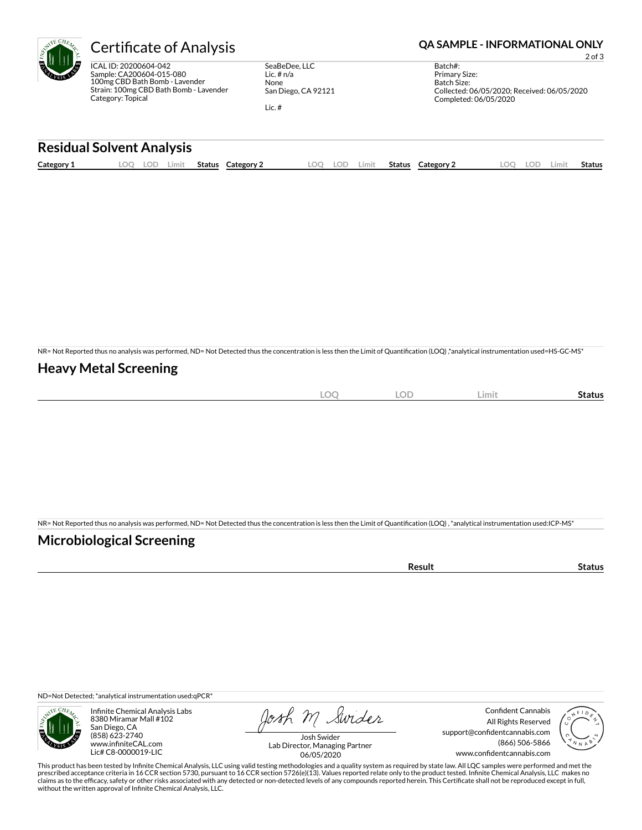ICAL ID: 20200604-042 Sample: CA200604-015-080 100mg CBD Bath Bomb - Lavender Strain: 100mg CBD Bath Bomb - Lavender Category: Topical

SeaBeDee, LLC Lic. # n/a None San Diego, CA 92121

Lic. #

### Certificate of Analysis **Certificate of Analysis QA SAMPLE - INFORMATIONAL ONLY**

2 of 3

Batch#: Primary Size: Batch Size: Collected: 06/05/2020; Received: 06/05/2020 Completed: 06/05/2020

#### **Residual Solvent Analysis**

| Category 1 | . OC | .ul | Limit | <b>Status</b> | Category | LOO | -77 | Limit. | <b>Status</b> | Category 2 | LOD. | Limi† | <b>Status</b> |
|------------|------|-----|-------|---------------|----------|-----|-----|--------|---------------|------------|------|-------|---------------|
|            |      |     |       |               |          |     |     |        |               |            |      |       |               |

NR= Not Reported thus no analysis was performed, ND= Not Detected thus the concentration is less then the Limit of Quantification (LOQ),\*analytical instrumentation used=HS-GC-MS\*

### **Heavy Metal Screening**

| $\sim$<br>$-$<br>λC<br>$-$<br>$\sim$ | $\cap$<br>$-$<br>$\overline{\phantom{a}}$ | Limit | status |
|--------------------------------------|-------------------------------------------|-------|--------|
|                                      |                                           |       |        |

NR= Not Reported thus no analysis was performed, ND= Not Detected thus the concentration is less then the Limit of Quantification (LOQ), \*analytical instrumentation used:ICP-MS\*

### **Microbiological Screening**

ND=Not Detected; \*analytical instrumentation used:qPCR\*



Infinite Chemical Analysis Labs 8380 Miramar Mall #102 San Diego, CA (858) 623-2740 www.infiniteCAL.com Lic# C8-0000019-LIC

Josh M Swider

Confident Cannabis All Rights Reserved support@confidentcannabis.com (866) 506-5866 www.confidentcannabis.com



Josh Swider Lab Director, Managing Partner 06/05/2020

This product has been tested by Infinite Chemical Analysis, LLC using valid testing methodologies and a quality system as required by state law. All LQC samples were performed and met the prescribed acceptance criteria in 16 CCR section 5730, pursuant to 16 CCR section 5726(e)(13). Values reported relate only to the product tested. Infinite Chemical Analysis, LLC makes no<br>claims as to the efficacy, safety o without the written approval of Infinite Chemical Analysis, LLC.